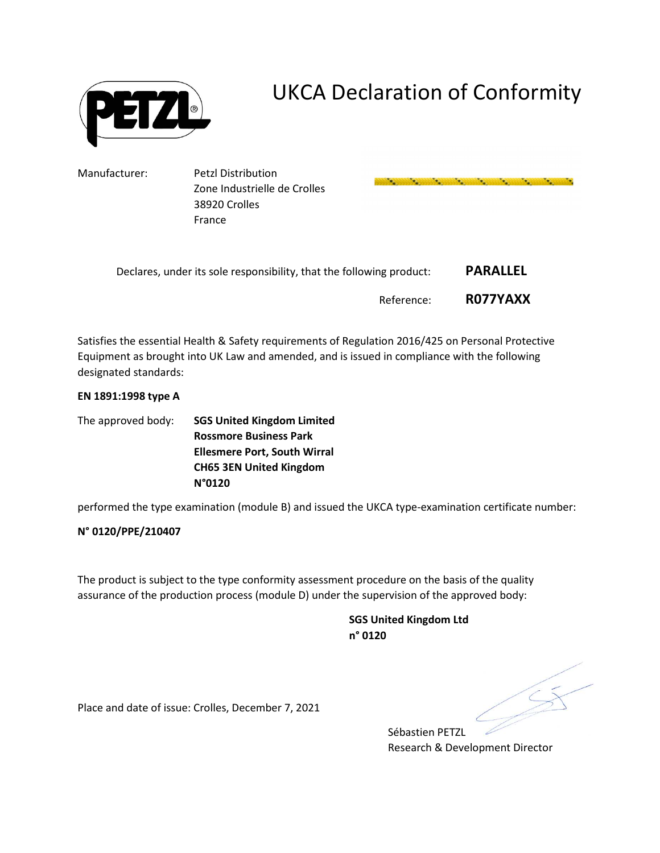

# UKCA Declaration of Conformity

and the company of the company of the company of the company of the company of the company of the company of t

Manufacturer: Petzl Distribution

Zone Industrielle de Crolles 38920 Crolles France

| Declares, under its sole responsibility, that the following product: | <b>PARALLEL</b> |
|----------------------------------------------------------------------|-----------------|
| Reference:                                                           | R077YAXX        |

Satisfies the essential Health & Safety requirements of Regulation 2016/425 on Personal Protective Equipment as brought into UK Law and amended, and is issued in compliance with the following designated standards:

### **EN 1891:1998 type A**

The approved body: **SGS United Kingdom Limited Rossmore Business Park Ellesmere Port, South Wirral CH65 3EN United Kingdom N°0120** 

performed the type examination (module B) and issued the UKCA type-examination certificate number:

**N° 0120/PPE/210407** 

The product is subject to the type conformity assessment procedure on the basis of the quality assurance of the production process (module D) under the supervision of the approved body:

> **SGS United Kingdom Ltd n° 0120**

Place and date of issue: Crolles, December 7, 2021

Sébastien PETZL Research & Development Director